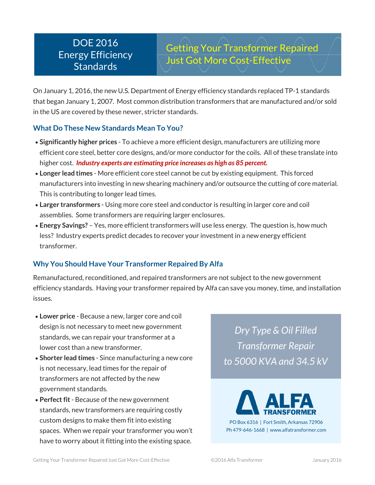## DOE 2016 Energy Efficiency **Standards**

Getting Your Transformer Repaired Just Got More Cost-Effective

On January 1, 2016, the new U.S. Department of Energy efficiency standards replaced TP-1 standards that began January 1, 2007. Most common distribution transformers that are manufactured and/or sold in the US are covered by these newer, stricter standards.

## **What Do These New Standards Mean To You?**

- **Significantly higher prices** To achieve a more efficient design, manufacturers are utilizing more efficient core steel, better core designs, and/or more conductor for the coils. All of these translate into higher cost. *Industry experts are estimating price increases as high as 85 percent.*
- **Longer lead times** More efficient core steel cannot be cut by existing equipment. This forced manufacturers into investing in new shearing machinery and/or outsource the cutting of core material. This is contributing to longer lead times.
- **Larger transformers** Using more core steel and conductor is resulting in larger core and coil assemblies. Some transformers are requiring larger enclosures.
- **Energy Savings?** Yes, more efficient transformers will use less energy. The question is, how much less? Industry experts predict decades to recover your investment in a new energy efficient transformer.

## **Why You Should Have Your Transformer Repaired By Alfa**

Remanufactured, reconditioned, and repaired transformers are not subject to the new government efficiency standards. Having your transformer repaired by Alfa can save you money, time, and installation issues.

- **Lower price** Because a new, larger core and coil design is not necessary to meet new government standards, we can repair your transformer at a lower cost than a new transformer.
- **Shorter lead times** Since manufacturing a new core is not necessary, lead times for the repair of transformers are not affected by the new government standards.
- **Perfect fit** Because of the new government standards, new transformers are requiring costly custom designs to make them fit into existing spaces. When we repair your transformer you won't have to worry about it fitting into the existing space.

*Dry Type & Oil Filled Transformer Repair to 5000 KVA and 34.5 kV*



PO Box 6316 | Fort Smith, Arkansas 72906 Ph 479-646-1668 | www.alfatransformer.com